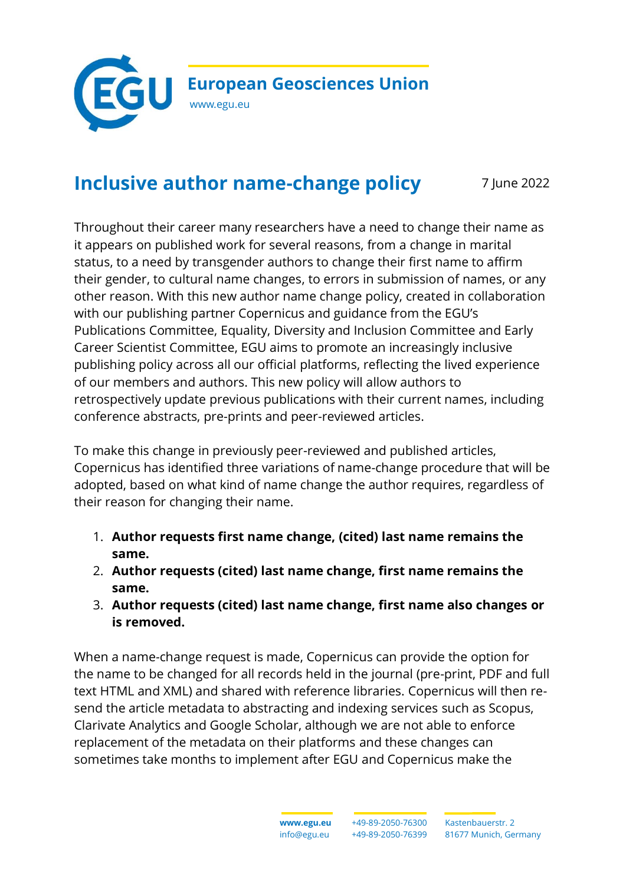

## **Inclusive author name-change policy** 7 June 2022

Throughout their career many researchers have a need to change their name as it appears on published work for several reasons, from a change in marital status, to a need by transgender authors to change their first name to affirm their gender, to cultural name changes, to errors in submission of names, or any other reason. With this new author name change policy, created in collaboration with our publishing partner Copernicus and guidance from the EGU's Publications Committee, Equality, Diversity and Inclusion Committee and Early Career Scientist Committee, EGU aims to promote an increasingly inclusive publishing policy across all our official platforms, reflecting the lived experience of our members and authors. This new policy will allow authors to retrospectively update previous publications with their current names, including conference abstracts, pre-prints and peer-reviewed articles.

To make this change in previously peer-reviewed and published articles, Copernicus has identified three variations of name-change procedure that will be adopted, based on what kind of name change the author requires, regardless of their reason for changing their name.

- 1. **Author requests first name change, (cited) last name remains the same.**
- 2. **Author requests (cited) last name change, first name remains the same.**
- 3. **Author requests (cited) last name change, first name also changes or is removed.**

When a name-change request is made, Copernicus can provide the option for the name to be changed for all records held in the journal (pre-print, PDF and full text HTML and XML) and shared with reference libraries. Copernicus will then resend the article metadata to abstracting and indexing services such as Scopus, Clarivate Analytics and Google Scholar, although we are not able to enforce replacement of the metadata on their platforms and these changes can sometimes take months to implement after EGU and Copernicus make the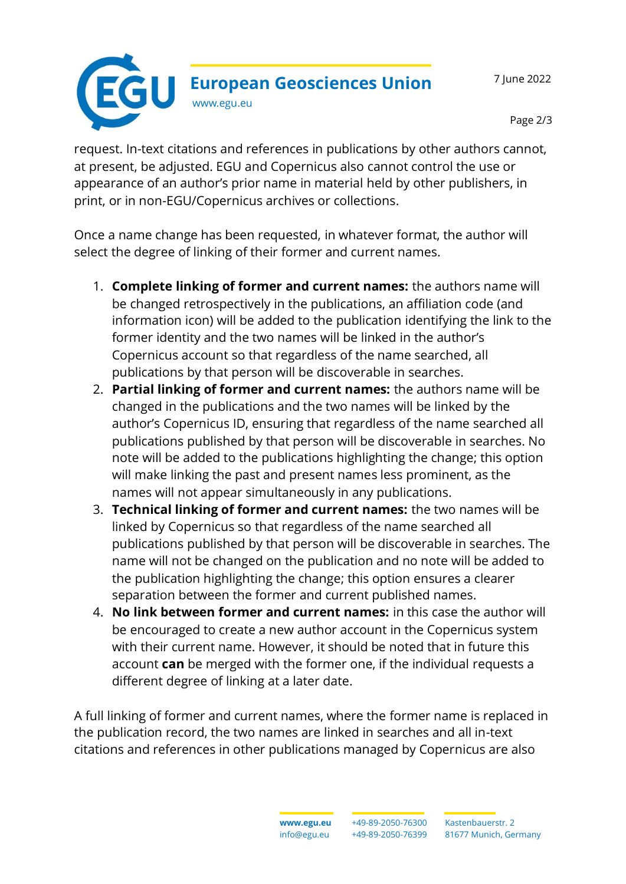7 June 2022



Page 2/3

request. In-text citations and references in publications by other authors cannot, at present, be adjusted. EGU and Copernicus also cannot control the use or appearance of an author's prior name in material held by other publishers, in print, or in non-EGU/Copernicus archives or collections.

Once a name change has been requested, in whatever format, the author will select the degree of linking of their former and current names.

- 1. **Complete linking of former and current names:** the authors name will be changed retrospectively in the publications, an affiliation code (and information icon) will be added to the publication identifying the link to the former identity and the two names will be linked in the author's Copernicus account so that regardless of the name searched, all publications by that person will be discoverable in searches.
- 2. **Partial linking of former and current names:** the authors name will be changed in the publications and the two names will be linked by the author's Copernicus ID, ensuring that regardless of the name searched all publications published by that person will be discoverable in searches. No note will be added to the publications highlighting the change; this option will make linking the past and present names less prominent, as the names will not appear simultaneously in any publications.
- 3. **Technical linking of former and current names:** the two names will be linked by Copernicus so that regardless of the name searched all publications published by that person will be discoverable in searches. The name will not be changed on the publication and no note will be added to the publication highlighting the change; this option ensures a clearer separation between the former and current published names.
- 4. **No link between former and current names:** in this case the author will be encouraged to create a new author account in the Copernicus system with their current name. However, it should be noted that in future this account **can** be merged with the former one, if the individual requests a different degree of linking at a later date.

A full linking of former and current names, where the former name is replaced in the publication record, the two names are linked in searches and all in-text citations and references in other publications managed by Copernicus are also